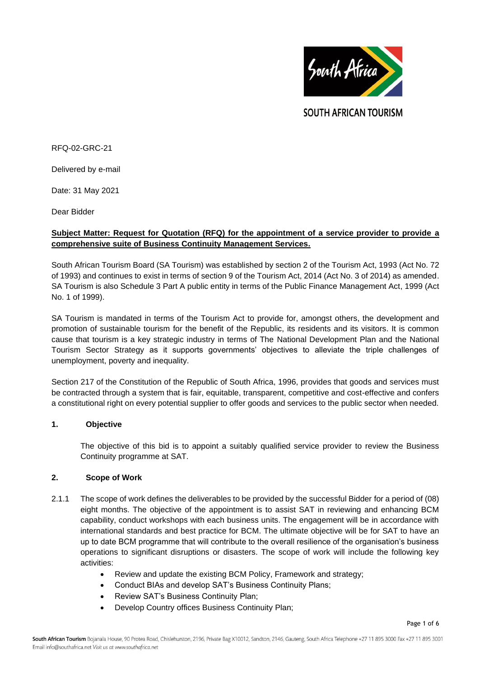

**SOUTH AFRICAN TOURISM** 

RFQ-02-GRC-21

Delivered by e-mail

Date: 31 May 2021

Dear Bidder

## **Subject Matter: Request for Quotation (RFQ) for the appointment of a service provider to provide a comprehensive suite of Business Continuity Management Services.**

South African Tourism Board (SA Tourism) was established by section 2 of the Tourism Act, 1993 (Act No. 72 of 1993) and continues to exist in terms of section 9 of the Tourism Act, 2014 (Act No. 3 of 2014) as amended. SA Tourism is also Schedule 3 Part A public entity in terms of the Public Finance Management Act, 1999 (Act No. 1 of 1999).

SA Tourism is mandated in terms of the Tourism Act to provide for, amongst others, the development and promotion of sustainable tourism for the benefit of the Republic, its residents and its visitors. It is common cause that tourism is a key strategic industry in terms of The National Development Plan and the National Tourism Sector Strategy as it supports governments' objectives to alleviate the triple challenges of unemployment, poverty and inequality.

Section 217 of the Constitution of the Republic of South Africa, 1996, provides that goods and services must be contracted through a system that is fair, equitable, transparent, competitive and cost-effective and confers a constitutional right on every potential supplier to offer goods and services to the public sector when needed.

## **1. Objective**

The objective of this bid is to appoint a suitably qualified service provider to review the Business Continuity programme at SAT.

## **2. Scope of Work**

- 2.1.1 The scope of work defines the deliverables to be provided by the successful Bidder for a period of (08) eight months. The objective of the appointment is to assist SAT in reviewing and enhancing BCM capability, conduct workshops with each business units. The engagement will be in accordance with international standards and best practice for BCM. The ultimate objective will be for SAT to have an up to date BCM programme that will contribute to the overall resilience of the organisation's business operations to significant disruptions or disasters. The scope of work will include the following key activities:
	- Review and update the existing BCM Policy, Framework and strategy;
	- Conduct BIAs and develop SAT's Business Continuity Plans;
	- Review SAT's Business Continuity Plan;
	- Develop Country offices Business Continuity Plan;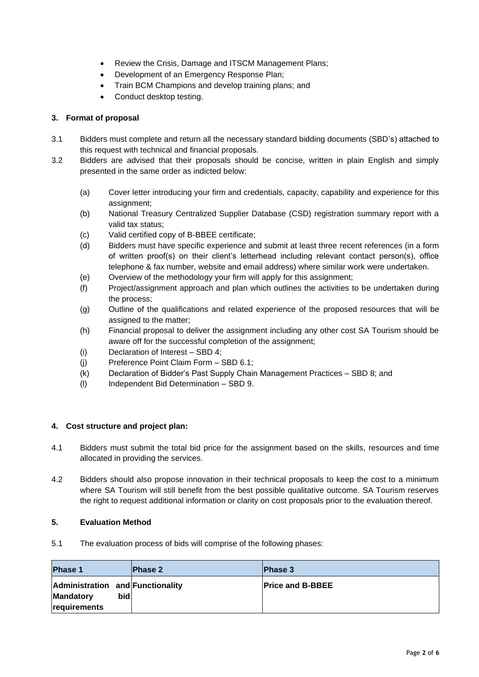- Review the Crisis, Damage and ITSCM Management Plans;
- Development of an Emergency Response Plan;
- Train BCM Champions and develop training plans; and
- Conduct desktop testing.

# **3. Format of proposal**

- 3.1 Bidders must complete and return all the necessary standard bidding documents (SBD's) attached to this request with technical and financial proposals.
- 3.2 Bidders are advised that their proposals should be concise, written in plain English and simply presented in the same order as indicted below:
	- (a) Cover letter introducing your firm and credentials, capacity, capability and experience for this assignment;
	- (b) National Treasury Centralized Supplier Database (CSD) registration summary report with a valid tax status;
	- (c) Valid certified copy of B-BBEE certificate;
	- (d) Bidders must have specific experience and submit at least three recent references (in a form of written proof(s) on their client's letterhead including relevant contact person(s), office telephone & fax number, website and email address) where similar work were undertaken.
	- (e) Overview of the methodology your firm will apply for this assignment;
	- (f) Project/assignment approach and plan which outlines the activities to be undertaken during the process;
	- (g) Outline of the qualifications and related experience of the proposed resources that will be assigned to the matter;
	- (h) Financial proposal to deliver the assignment including any other cost SA Tourism should be aware off for the successful completion of the assignment;
	- (i) Declaration of Interest SBD 4;
	- (j) Preference Point Claim Form SBD 6.1;
	- (k) Declaration of Bidder's Past Supply Chain Management Practices SBD 8; and
	- (l) Independent Bid Determination SBD 9.

# **4. Cost structure and project plan:**

- 4.1 Bidders must submit the total bid price for the assignment based on the skills, resources and time allocated in providing the services.
- 4.2 Bidders should also propose innovation in their technical proposals to keep the cost to a minimum where SA Tourism will still benefit from the best possible qualitative outcome. SA Tourism reserves the right to request additional information or clarity on cost proposals prior to the evaluation thereof.

## **5. Evaluation Method**

5.1 The evaluation process of bids will comprise of the following phases:

| <b>Phase 1</b>                   | <b>Phase 2</b> | <b>Phase 3</b>          |
|----------------------------------|----------------|-------------------------|
| Administration and Functionality |                | <b>Price and B-BBEE</b> |
| bid<br><b>Mandatory</b>          |                |                         |
| requirements                     |                |                         |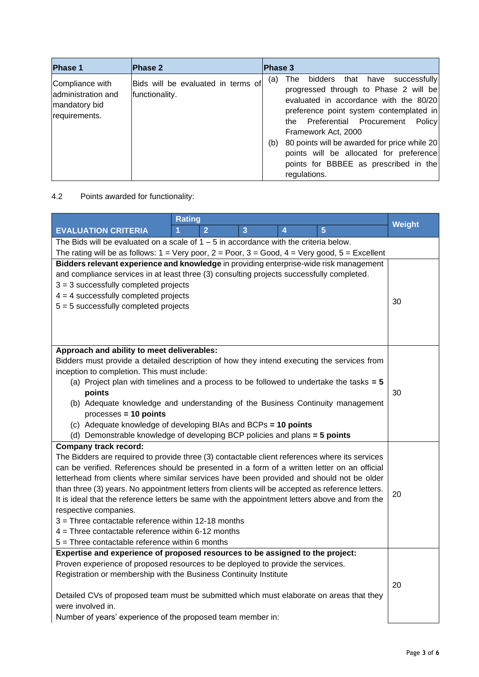| <b>Phase 1</b>                                                          | <b>Phase 2</b>                                       | <b>Phase 3</b>                                                                                                                                                                                                                                                                                                                                                                                              |
|-------------------------------------------------------------------------|------------------------------------------------------|-------------------------------------------------------------------------------------------------------------------------------------------------------------------------------------------------------------------------------------------------------------------------------------------------------------------------------------------------------------------------------------------------------------|
| Compliance with<br>administration and<br>mandatory bid<br>requirements. | Bids will be evaluated in terms of<br>functionality. | bidders<br>successfully<br>The l<br>that have<br>(a)<br>progressed through to Phase 2 will be<br>evaluated in accordance with the 80/20<br>preference point system contemplated in<br>the Preferential Procurement Policy<br>Framework Act, 2000<br>80 points will be awarded for price while 20<br>(b)<br>points will be allocated for preference<br>points for BBBEE as prescribed in the<br>regulations. |

# 4.2 Points awarded for functionality:

|                                                                                         | <b>Rating</b>                                                                                                                        | Weight |  |  |  |
|-----------------------------------------------------------------------------------------|--------------------------------------------------------------------------------------------------------------------------------------|--------|--|--|--|
|                                                                                         | $\overline{2}$<br>$\overline{5}$<br><b>EVALUATION CRITERIA</b><br>$\overline{3}$<br>4                                                |        |  |  |  |
|                                                                                         | The Bids will be evaluated on a scale of $1 - 5$ in accordance with the criteria below.                                              |        |  |  |  |
|                                                                                         | The rating will be as follows: $1 = \text{Very poor}, 2 = \text{ Poor}, 3 = \text{Good}, 4 = \text{Very good}, 5 = \text{Excellent}$ |        |  |  |  |
|                                                                                         | Bidders relevant experience and knowledge in providing enterprise-wide risk management                                               |        |  |  |  |
|                                                                                         | and compliance services in at least three (3) consulting projects successfully completed.                                            |        |  |  |  |
|                                                                                         | $3 = 3$ successfully completed projects                                                                                              |        |  |  |  |
|                                                                                         | $4 = 4$ successfully completed projects                                                                                              | 30     |  |  |  |
|                                                                                         | $5 = 5$ successfully completed projects                                                                                              |        |  |  |  |
|                                                                                         |                                                                                                                                      |        |  |  |  |
|                                                                                         |                                                                                                                                      |        |  |  |  |
|                                                                                         |                                                                                                                                      |        |  |  |  |
|                                                                                         | Approach and ability to meet deliverables:                                                                                           |        |  |  |  |
|                                                                                         | Bidders must provide a detailed description of how they intend executing the services from                                           |        |  |  |  |
|                                                                                         | inception to completion. This must include:                                                                                          |        |  |  |  |
|                                                                                         | (a) Project plan with timelines and a process to be followed to undertake the tasks $= 5$<br>points                                  |        |  |  |  |
|                                                                                         |                                                                                                                                      | 30     |  |  |  |
|                                                                                         | (b) Adequate knowledge and understanding of the Business Continuity management<br>$processes = 10 points$                            |        |  |  |  |
|                                                                                         | (c) Adequate knowledge of developing BIAs and BCPs = 10 points                                                                       |        |  |  |  |
|                                                                                         |                                                                                                                                      |        |  |  |  |
|                                                                                         | (d) Demonstrable knowledge of developing BCP policies and plans = 5 points<br><b>Company track record:</b>                           |        |  |  |  |
|                                                                                         | The Bidders are required to provide three (3) contactable client references where its services                                       |        |  |  |  |
|                                                                                         | can be verified. References should be presented in a form of a written letter on an official                                         |        |  |  |  |
|                                                                                         | letterhead from clients where similar services have been provided and should not be older                                            |        |  |  |  |
|                                                                                         | than three (3) years. No appointment letters from clients will be accepted as reference letters.                                     |        |  |  |  |
|                                                                                         | It is ideal that the reference letters be same with the appointment letters above and from the                                       | 20     |  |  |  |
|                                                                                         | respective companies.                                                                                                                |        |  |  |  |
|                                                                                         | $3$ = Three contactable reference within 12-18 months                                                                                |        |  |  |  |
|                                                                                         | $4$ = Three contactable reference within 6-12 months                                                                                 |        |  |  |  |
|                                                                                         | $5 =$ Three contactable reference within 6 months                                                                                    |        |  |  |  |
|                                                                                         | Expertise and experience of proposed resources to be assigned to the project:                                                        |        |  |  |  |
|                                                                                         | Proven experience of proposed resources to be deployed to provide the services.                                                      |        |  |  |  |
|                                                                                         | Registration or membership with the Business Continuity Institute                                                                    |        |  |  |  |
|                                                                                         |                                                                                                                                      | 20     |  |  |  |
| Detailed CVs of proposed team must be submitted which must elaborate on areas that they |                                                                                                                                      |        |  |  |  |
|                                                                                         | were involved in.                                                                                                                    |        |  |  |  |
|                                                                                         | Number of years' experience of the proposed team member in:                                                                          |        |  |  |  |
|                                                                                         |                                                                                                                                      |        |  |  |  |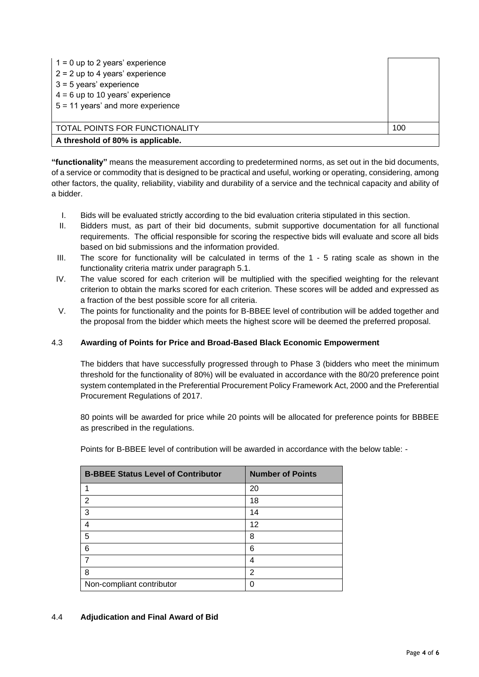| $1 = 0$ up to 2 years' experience<br>$2 = 2$ up to 4 years' experience<br>$3 = 5$ years' experience<br>$4 = 6$ up to 10 years' experience<br>$5 = 11$ years' and more experience |     |  |
|----------------------------------------------------------------------------------------------------------------------------------------------------------------------------------|-----|--|
| TOTAL POINTS FOR FUNCTIONALITY                                                                                                                                                   | 100 |  |
| A threshold of 80% is applicable.                                                                                                                                                |     |  |

**"functionality"** means the measurement according to predetermined norms, as set out in the bid documents, of a service or commodity that is designed to be practical and useful, working or operating, considering, among other factors, the quality, reliability, viability and durability of a service and the technical capacity and ability of a bidder.

- I. Bids will be evaluated strictly according to the bid evaluation criteria stipulated in this section.
- II. Bidders must, as part of their bid documents, submit supportive documentation for all functional requirements. The official responsible for scoring the respective bids will evaluate and score all bids based on bid submissions and the information provided.
- III. The score for functionality will be calculated in terms of the 1 5 rating scale as shown in the functionality criteria matrix under paragraph 5.1.
- IV. The value scored for each criterion will be multiplied with the specified weighting for the relevant criterion to obtain the marks scored for each criterion. These scores will be added and expressed as a fraction of the best possible score for all criteria.
- V. The points for functionality and the points for B-BBEE level of contribution will be added together and the proposal from the bidder which meets the highest score will be deemed the preferred proposal.

## 4.3 **Awarding of Points for Price and Broad-Based Black Economic Empowerment**

The bidders that have successfully progressed through to Phase 3 (bidders who meet the minimum threshold for the functionality of 80%) will be evaluated in accordance with the 80/20 preference point system contemplated in the Preferential Procurement Policy Framework Act, 2000 and the Preferential Procurement Regulations of 2017.

80 points will be awarded for price while 20 points will be allocated for preference points for BBBEE as prescribed in the regulations.

Points for B-BBEE level of contribution will be awarded in accordance with the below table: -

| <b>B-BBEE Status Level of Contributor</b> | <b>Number of Points</b> |
|-------------------------------------------|-------------------------|
|                                           | 20                      |
| $\overline{2}$                            | 18                      |
| 3                                         | 14                      |
| 4                                         | 12                      |
| 5                                         | 8                       |
| 6                                         | 6                       |
|                                           | 4                       |
| 8                                         | 2                       |
| Non-compliant contributor                 |                         |

## 4.4 **Adjudication and Final Award of Bid**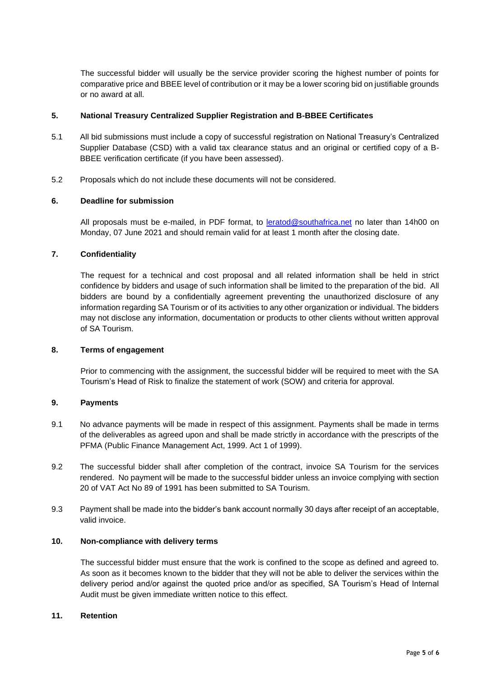The successful bidder will usually be the service provider scoring the highest number of points for comparative price and BBEE level of contribution or it may be a lower scoring bid on justifiable grounds or no award at all.

## **5. National Treasury Centralized Supplier Registration and B-BBEE Certificates**

- 5.1 All bid submissions must include a copy of successful registration on National Treasury's Centralized Supplier Database (CSD) with a valid tax clearance status and an original or certified copy of a B-BBEE verification certificate (if you have been assessed).
- 5.2 Proposals which do not include these documents will not be considered.

#### **6. Deadline for submission**

All proposals must be e-mailed, in PDF format, to [leratod@southafrica.net](mailto:leratod@southafrica.net) no later than 14h00 on Monday, 07 June 2021 and should remain valid for at least 1 month after the closing date.

## **7. Confidentiality**

The request for a technical and cost proposal and all related information shall be held in strict confidence by bidders and usage of such information shall be limited to the preparation of the bid. All bidders are bound by a confidentially agreement preventing the unauthorized disclosure of any information regarding SA Tourism or of its activities to any other organization or individual. The bidders may not disclose any information, documentation or products to other clients without written approval of SA Tourism.

#### **8. Terms of engagement**

Prior to commencing with the assignment, the successful bidder will be required to meet with the SA Tourism's Head of Risk to finalize the statement of work (SOW) and criteria for approval.

## **9. Payments**

- 9.1 No advance payments will be made in respect of this assignment. Payments shall be made in terms of the deliverables as agreed upon and shall be made strictly in accordance with the prescripts of the PFMA (Public Finance Management Act, 1999. Act 1 of 1999).
- 9.2 The successful bidder shall after completion of the contract, invoice SA Tourism for the services rendered. No payment will be made to the successful bidder unless an invoice complying with section 20 of VAT Act No 89 of 1991 has been submitted to SA Tourism.
- 9.3 Payment shall be made into the bidder's bank account normally 30 days after receipt of an acceptable, valid invoice.

#### **10. Non-compliance with delivery terms**

The successful bidder must ensure that the work is confined to the scope as defined and agreed to. As soon as it becomes known to the bidder that they will not be able to deliver the services within the delivery period and/or against the quoted price and/or as specified, SA Tourism's Head of Internal Audit must be given immediate written notice to this effect.

#### **11. Retention**